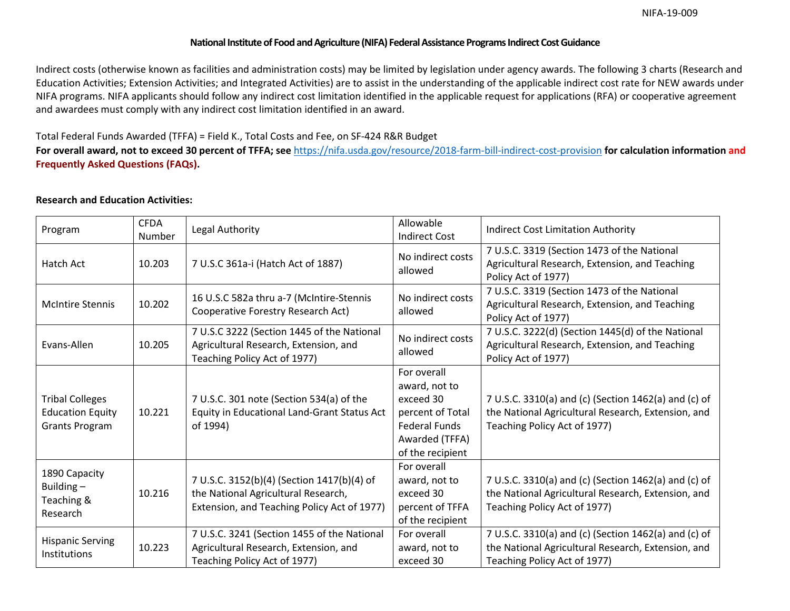#### **National Institute of Food and Agriculture (NIFA) Federal Assistance Programs Indirect Cost Guidance**

 Indirect costs (otherwise known as facilities and administration costs) may be limited by legislation under agency awards. The following 3 charts (Research and Education Activities; Extension Activities; and Integrated Activities) are to assist in the understanding of the applicable indirect cost rate for NEW awards under NIFA programs. NIFA applicants should follow any indirect cost limitation identified in the applicable request for applications (RFA) or cooperative agreement and awardees must comply with any indirect cost limitation identified in an award.

### Total Federal Funds Awarded (TFFA) = Field K., Total Costs and Fee, on SF-424 R&R Budget

**For overall award, not to exceed 30 percent of TFFA; see** <https://nifa.usda.gov/resource/2018-farm-bill-indirect-cost-provision>**for calculation information and Frequently Asked Questions (FAQs).** 

### **Research and Education Activities:**

| Program                                                                    | <b>CFDA</b><br><b>Number</b> | Legal Authority                                                                                                                  | Allowable<br><b>Indirect Cost</b>                                                                                           | <b>Indirect Cost Limitation Authority</b>                                                                                                  |
|----------------------------------------------------------------------------|------------------------------|----------------------------------------------------------------------------------------------------------------------------------|-----------------------------------------------------------------------------------------------------------------------------|--------------------------------------------------------------------------------------------------------------------------------------------|
| Hatch Act                                                                  | 10.203                       | 7 U.S.C 361a-i (Hatch Act of 1887)                                                                                               | No indirect costs<br>allowed                                                                                                | 7 U.S.C. 3319 (Section 1473 of the National<br>Agricultural Research, Extension, and Teaching<br>Policy Act of 1977)                       |
| <b>McIntire Stennis</b>                                                    | 10.202                       | 16 U.S.C 582a thru a-7 (McIntire-Stennis<br>Cooperative Forestry Research Act)                                                   | No indirect costs<br>allowed                                                                                                | 7 U.S.C. 3319 (Section 1473 of the National<br>Agricultural Research, Extension, and Teaching<br>Policy Act of 1977)                       |
| Evans-Allen                                                                | 10.205                       | 7 U.S.C 3222 (Section 1445 of the National<br>Agricultural Research, Extension, and<br>Teaching Policy Act of 1977)              | No indirect costs<br>allowed                                                                                                | 7 U.S.C. 3222(d) (Section 1445(d) of the National<br>Agricultural Research, Extension, and Teaching<br>Policy Act of 1977)                 |
| <b>Tribal Colleges</b><br><b>Education Equity</b><br><b>Grants Program</b> | 10.221                       | 7 U.S.C. 301 note (Section 534(a) of the<br>Equity in Educational Land-Grant Status Act<br>of 1994)                              | For overall<br>award, not to<br>exceed 30<br>percent of Total<br><b>Federal Funds</b><br>Awarded (TFFA)<br>of the recipient | 7 U.S.C. 3310(a) and (c) (Section 1462(a) and (c) of<br>the National Agricultural Research, Extension, and<br>Teaching Policy Act of 1977) |
| 1890 Capacity<br>Building-<br>Teaching &<br>Research                       | 10.216                       | 7 U.S.C. 3152(b)(4) (Section 1417(b)(4) of<br>the National Agricultural Research,<br>Extension, and Teaching Policy Act of 1977) | For overall<br>award, not to<br>exceed 30<br>percent of TFFA<br>of the recipient                                            | 7 U.S.C. 3310(a) and (c) (Section 1462(a) and (c) of<br>the National Agricultural Research, Extension, and<br>Teaching Policy Act of 1977) |
| <b>Hispanic Serving</b><br>Institutions                                    | 10.223                       | 7 U.S.C. 3241 (Section 1455 of the National<br>Agricultural Research, Extension, and<br>Teaching Policy Act of 1977)             | For overall<br>award, not to<br>exceed 30                                                                                   | 7 U.S.C. 3310(a) and (c) (Section 1462(a) and (c) of<br>the National Agricultural Research, Extension, and<br>Teaching Policy Act of 1977) |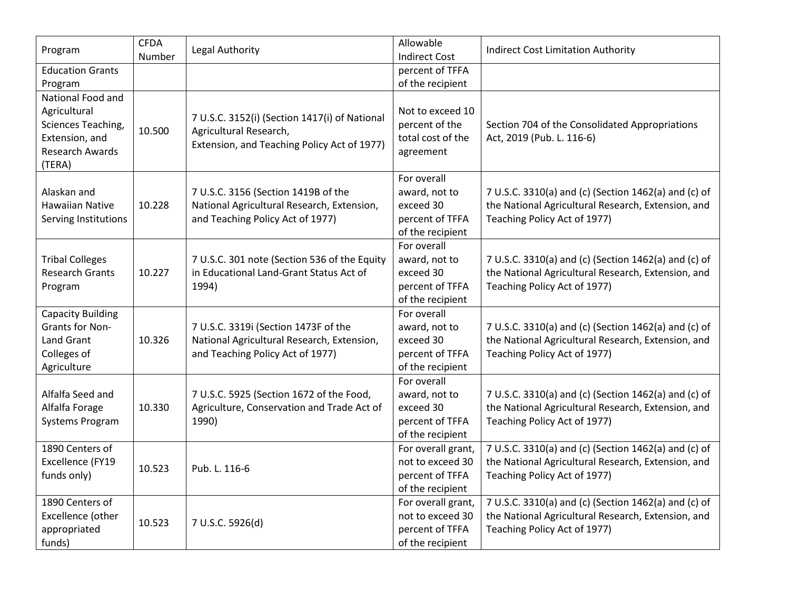| Program                                                                                                       | <b>CFDA</b><br>Number | Legal Authority                                                                                                        | Allowable<br><b>Indirect Cost</b>                                                | <b>Indirect Cost Limitation Authority</b>                                                                                                  |
|---------------------------------------------------------------------------------------------------------------|-----------------------|------------------------------------------------------------------------------------------------------------------------|----------------------------------------------------------------------------------|--------------------------------------------------------------------------------------------------------------------------------------------|
| <b>Education Grants</b>                                                                                       |                       |                                                                                                                        | percent of TFFA                                                                  |                                                                                                                                            |
| Program                                                                                                       |                       |                                                                                                                        | of the recipient                                                                 |                                                                                                                                            |
| National Food and<br>Agricultural<br>Sciences Teaching,<br>Extension, and<br><b>Research Awards</b><br>(TERA) | 10.500                | 7 U.S.C. 3152(i) (Section 1417(i) of National<br>Agricultural Research,<br>Extension, and Teaching Policy Act of 1977) | Not to exceed 10<br>percent of the<br>total cost of the<br>agreement             | Section 704 of the Consolidated Appropriations<br>Act, 2019 (Pub. L. 116-6)                                                                |
| Alaskan and<br><b>Hawaiian Native</b><br>Serving Institutions                                                 | 10.228                | 7 U.S.C. 3156 (Section 1419B of the<br>National Agricultural Research, Extension,<br>and Teaching Policy Act of 1977)  | For overall<br>award, not to<br>exceed 30<br>percent of TFFA<br>of the recipient | 7 U.S.C. 3310(a) and (c) (Section 1462(a) and (c) of<br>the National Agricultural Research, Extension, and<br>Teaching Policy Act of 1977) |
| <b>Tribal Colleges</b><br><b>Research Grants</b><br>Program                                                   | 10.227                | 7 U.S.C. 301 note (Section 536 of the Equity<br>in Educational Land-Grant Status Act of<br>1994)                       | For overall<br>award, not to<br>exceed 30<br>percent of TFFA<br>of the recipient | 7 U.S.C. 3310(a) and (c) (Section 1462(a) and (c) of<br>the National Agricultural Research, Extension, and<br>Teaching Policy Act of 1977) |
| <b>Capacity Building</b><br><b>Grants for Non-</b><br><b>Land Grant</b><br>Colleges of<br>Agriculture         | 10.326                | 7 U.S.C. 3319i (Section 1473F of the<br>National Agricultural Research, Extension,<br>and Teaching Policy Act of 1977) | For overall<br>award, not to<br>exceed 30<br>percent of TFFA<br>of the recipient | 7 U.S.C. 3310(a) and (c) (Section 1462(a) and (c) of<br>the National Agricultural Research, Extension, and<br>Teaching Policy Act of 1977) |
| Alfalfa Seed and<br>Alfalfa Forage<br>Systems Program                                                         | 10.330                | 7 U.S.C. 5925 (Section 1672 of the Food,<br>Agriculture, Conservation and Trade Act of<br>1990)                        | For overall<br>award, not to<br>exceed 30<br>percent of TFFA<br>of the recipient | 7 U.S.C. 3310(a) and (c) (Section 1462(a) and (c) of<br>the National Agricultural Research, Extension, and<br>Teaching Policy Act of 1977) |
| 1890 Centers of<br>Excellence (FY19<br>funds only)                                                            | 10.523                | Pub. L. 116-6                                                                                                          | For overall grant,<br>not to exceed 30<br>percent of TFFA<br>of the recipient    | 7 U.S.C. 3310(a) and (c) (Section 1462(a) and (c) of<br>the National Agricultural Research, Extension, and<br>Teaching Policy Act of 1977) |
| 1890 Centers of<br>Excellence (other<br>appropriated<br>funds)                                                | 10.523                | 7 U.S.C. 5926(d)                                                                                                       | For overall grant,<br>not to exceed 30<br>percent of TFFA<br>of the recipient    | 7 U.S.C. 3310(a) and (c) (Section 1462(a) and (c) of<br>the National Agricultural Research, Extension, and<br>Teaching Policy Act of 1977) |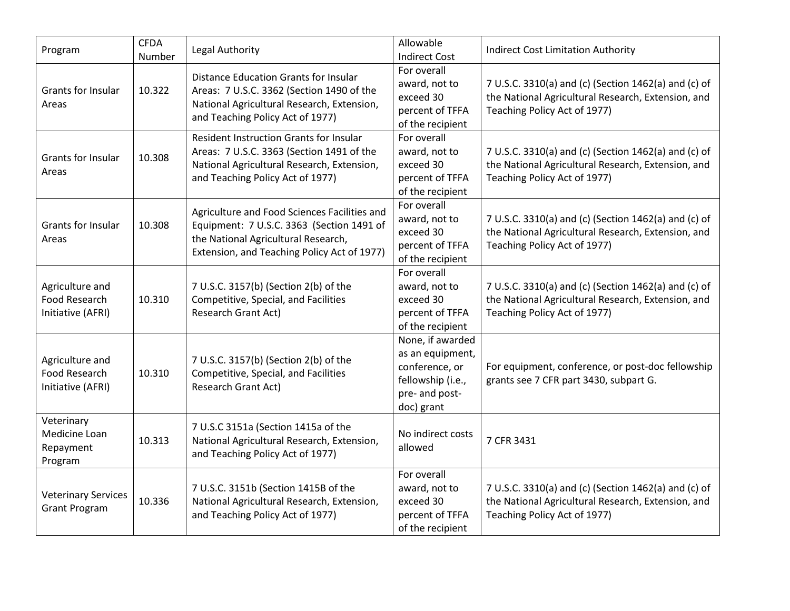| Program                                               | <b>CFDA</b><br>Number | Legal Authority                                                                                                                                                                 | Allowable<br><b>Indirect Cost</b>                                                                           | <b>Indirect Cost Limitation Authority</b>                                                                                                  |
|-------------------------------------------------------|-----------------------|---------------------------------------------------------------------------------------------------------------------------------------------------------------------------------|-------------------------------------------------------------------------------------------------------------|--------------------------------------------------------------------------------------------------------------------------------------------|
| Grants for Insular<br>Areas                           | 10.322                | Distance Education Grants for Insular<br>Areas: 7 U.S.C. 3362 (Section 1490 of the<br>National Agricultural Research, Extension,<br>and Teaching Policy Act of 1977)            | For overall<br>award, not to<br>exceed 30<br>percent of TFFA<br>of the recipient                            | 7 U.S.C. 3310(a) and (c) (Section 1462(a) and (c) of<br>the National Agricultural Research, Extension, and<br>Teaching Policy Act of 1977) |
| Grants for Insular<br>Areas                           | 10.308                | <b>Resident Instruction Grants for Insular</b><br>Areas: 7 U.S.C. 3363 (Section 1491 of the<br>National Agricultural Research, Extension,<br>and Teaching Policy Act of 1977)   | For overall<br>award, not to<br>exceed 30<br>percent of TFFA<br>of the recipient                            | 7 U.S.C. 3310(a) and (c) (Section 1462(a) and (c) of<br>the National Agricultural Research, Extension, and<br>Teaching Policy Act of 1977) |
| <b>Grants for Insular</b><br>Areas                    | 10.308                | Agriculture and Food Sciences Facilities and<br>Equipment: 7 U.S.C. 3363 (Section 1491 of<br>the National Agricultural Research,<br>Extension, and Teaching Policy Act of 1977) | For overall<br>award, not to<br>exceed 30<br>percent of TFFA<br>of the recipient                            | 7 U.S.C. 3310(a) and (c) (Section 1462(a) and (c) of<br>the National Agricultural Research, Extension, and<br>Teaching Policy Act of 1977) |
| Agriculture and<br>Food Research<br>Initiative (AFRI) | 10.310                | 7 U.S.C. 3157(b) (Section 2(b) of the<br>Competitive, Special, and Facilities<br><b>Research Grant Act)</b>                                                                     | For overall<br>award, not to<br>exceed 30<br>percent of TFFA<br>of the recipient                            | 7 U.S.C. 3310(a) and (c) (Section 1462(a) and (c) of<br>the National Agricultural Research, Extension, and<br>Teaching Policy Act of 1977) |
| Agriculture and<br>Food Research<br>Initiative (AFRI) | 10.310                | 7 U.S.C. 3157(b) (Section 2(b) of the<br>Competitive, Special, and Facilities<br>Research Grant Act)                                                                            | None, if awarded<br>as an equipment,<br>conference, or<br>fellowship (i.e.,<br>pre- and post-<br>doc) grant | For equipment, conference, or post-doc fellowship<br>grants see 7 CFR part 3430, subpart G.                                                |
| Veterinary<br>Medicine Loan<br>Repayment<br>Program   | 10.313                | 7 U.S.C 3151a (Section 1415a of the<br>National Agricultural Research, Extension,<br>and Teaching Policy Act of 1977)                                                           | No indirect costs<br>allowed                                                                                | 7 CFR 3431                                                                                                                                 |
| <b>Veterinary Services</b><br><b>Grant Program</b>    | 10.336                | 7 U.S.C. 3151b (Section 1415B of the<br>National Agricultural Research, Extension,<br>and Teaching Policy Act of 1977)                                                          | For overall<br>award, not to<br>exceed 30<br>percent of TFFA<br>of the recipient                            | 7 U.S.C. 3310(a) and (c) (Section 1462(a) and (c) of<br>the National Agricultural Research, Extension, and<br>Teaching Policy Act of 1977) |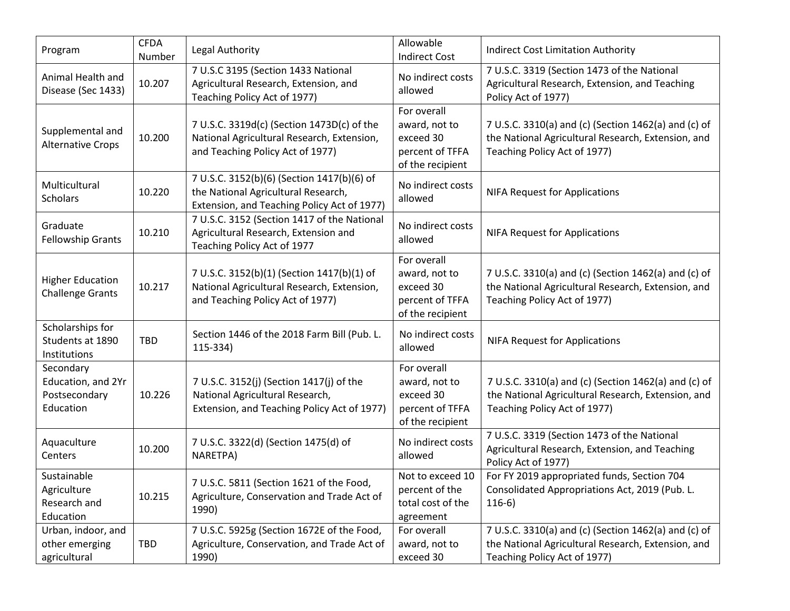| Program                                                       | <b>CFDA</b><br>Number | Legal Authority                                                                                                                  | Allowable<br><b>Indirect Cost</b>                                                | <b>Indirect Cost Limitation Authority</b>                                                                                                  |
|---------------------------------------------------------------|-----------------------|----------------------------------------------------------------------------------------------------------------------------------|----------------------------------------------------------------------------------|--------------------------------------------------------------------------------------------------------------------------------------------|
| Animal Health and<br>Disease (Sec 1433)                       | 10.207                | 7 U.S.C 3195 (Section 1433 National<br>Agricultural Research, Extension, and<br>Teaching Policy Act of 1977)                     | No indirect costs<br>allowed                                                     | 7 U.S.C. 3319 (Section 1473 of the National<br>Agricultural Research, Extension, and Teaching<br>Policy Act of 1977)                       |
| Supplemental and<br><b>Alternative Crops</b>                  | 10.200                | 7 U.S.C. 3319d(c) (Section 1473D(c) of the<br>National Agricultural Research, Extension,<br>and Teaching Policy Act of 1977)     | For overall<br>award, not to<br>exceed 30<br>percent of TFFA<br>of the recipient | 7 U.S.C. 3310(a) and (c) (Section 1462(a) and (c) of<br>the National Agricultural Research, Extension, and<br>Teaching Policy Act of 1977) |
| Multicultural<br><b>Scholars</b>                              | 10.220                | 7 U.S.C. 3152(b)(6) (Section 1417(b)(6) of<br>the National Agricultural Research,<br>Extension, and Teaching Policy Act of 1977) | No indirect costs<br>allowed                                                     | <b>NIFA Request for Applications</b>                                                                                                       |
| Graduate<br><b>Fellowship Grants</b>                          | 10.210                | 7 U.S.C. 3152 (Section 1417 of the National<br>Agricultural Research, Extension and<br>Teaching Policy Act of 1977               | No indirect costs<br>allowed                                                     | <b>NIFA Request for Applications</b>                                                                                                       |
| <b>Higher Education</b><br><b>Challenge Grants</b>            | 10.217                | 7 U.S.C. 3152(b)(1) (Section 1417(b)(1) of<br>National Agricultural Research, Extension,<br>and Teaching Policy Act of 1977)     | For overall<br>award, not to<br>exceed 30<br>percent of TFFA<br>of the recipient | 7 U.S.C. 3310(a) and (c) (Section 1462(a) and (c) of<br>the National Agricultural Research, Extension, and<br>Teaching Policy Act of 1977) |
| Scholarships for<br>Students at 1890<br>Institutions          | <b>TBD</b>            | Section 1446 of the 2018 Farm Bill (Pub. L.<br>115-334)                                                                          | No indirect costs<br>allowed                                                     | <b>NIFA Request for Applications</b>                                                                                                       |
| Secondary<br>Education, and 2Yr<br>Postsecondary<br>Education | 10.226                | 7 U.S.C. 3152(j) (Section 1417(j) of the<br>National Agricultural Research,<br>Extension, and Teaching Policy Act of 1977)       | For overall<br>award, not to<br>exceed 30<br>percent of TFFA<br>of the recipient | 7 U.S.C. 3310(a) and (c) (Section 1462(a) and (c) of<br>the National Agricultural Research, Extension, and<br>Teaching Policy Act of 1977) |
| Aquaculture<br>Centers                                        | 10.200                | 7 U.S.C. 3322(d) (Section 1475(d) of<br>NARETPA)                                                                                 | No indirect costs<br>allowed                                                     | 7 U.S.C. 3319 (Section 1473 of the National<br>Agricultural Research, Extension, and Teaching<br>Policy Act of 1977)                       |
| Sustainable<br>Agriculture<br>Research and<br>Education       | 10.215                | 7 U.S.C. 5811 (Section 1621 of the Food,<br>Agriculture, Conservation and Trade Act of<br>1990)                                  | Not to exceed 10<br>percent of the<br>total cost of the<br>agreement             | For FY 2019 appropriated funds, Section 704<br>Consolidated Appropriations Act, 2019 (Pub. L.<br>$116-6$                                   |
| Urban, indoor, and<br>other emerging<br>agricultural          | TBD                   | 7 U.S.C. 5925g (Section 1672E of the Food,<br>Agriculture, Conservation, and Trade Act of<br>1990)                               | For overall<br>award, not to<br>exceed 30                                        | 7 U.S.C. 3310(a) and (c) (Section 1462(a) and (c) of<br>the National Agricultural Research, Extension, and<br>Teaching Policy Act of 1977) |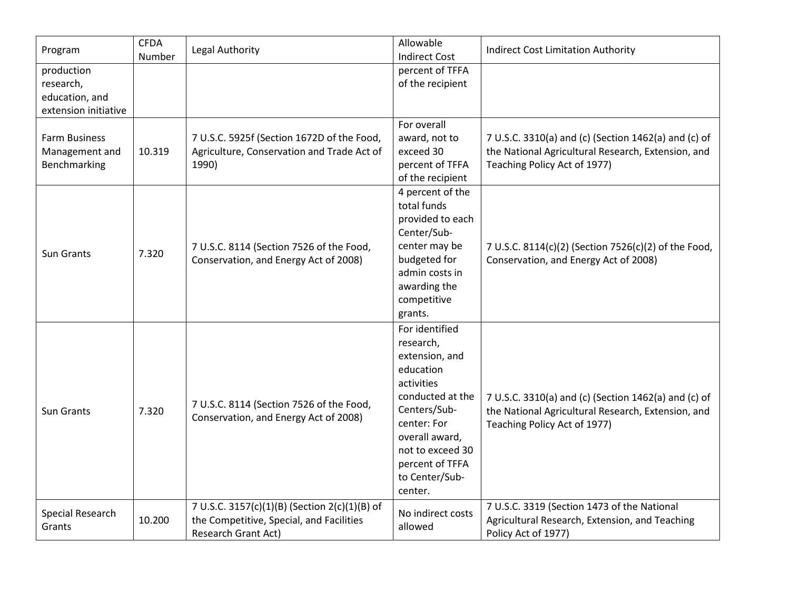| Program                                                           | <b>CFDA</b><br>Number | Legal Authority                                                                                                         | Allowable<br><b>Indirect Cost</b>                                                                                                                                                                                 | <b>Indirect Cost Limitation Authority</b>                                                                                                  |
|-------------------------------------------------------------------|-----------------------|-------------------------------------------------------------------------------------------------------------------------|-------------------------------------------------------------------------------------------------------------------------------------------------------------------------------------------------------------------|--------------------------------------------------------------------------------------------------------------------------------------------|
| production<br>research,<br>education, and<br>extension initiative |                       |                                                                                                                         | percent of TFFA<br>of the recipient                                                                                                                                                                               |                                                                                                                                            |
| <b>Farm Business</b><br>Management and<br>Benchmarking            | 10.319                | 7 U.S.C. 5925f (Section 1672D of the Food,<br>Agriculture, Conservation and Trade Act of<br>1990)                       | For overall<br>award, not to<br>exceed 30<br>percent of TFFA<br>of the recipient                                                                                                                                  | 7 U.S.C. 3310(a) and (c) (Section 1462(a) and (c) of<br>the National Agricultural Research, Extension, and<br>Teaching Policy Act of 1977) |
| <b>Sun Grants</b>                                                 | 7.320                 | 7 U.S.C. 8114 (Section 7526 of the Food,<br>Conservation, and Energy Act of 2008)                                       | 4 percent of the<br>total funds<br>provided to each<br>Center/Sub-<br>center may be<br>budgeted for<br>admin costs in<br>awarding the<br>competitive<br>grants.                                                   | 7 U.S.C. 8114(c)(2) (Section 7526(c)(2) of the Food,<br>Conservation, and Energy Act of 2008)                                              |
| Sun Grants                                                        | 7.320                 | 7 U.S.C. 8114 (Section 7526 of the Food,<br>Conservation, and Energy Act of 2008)                                       | For identified<br>research,<br>extension, and<br>education<br>activities<br>conducted at the<br>Centers/Sub-<br>center: For<br>overall award,<br>not to exceed 30<br>percent of TFFA<br>to Center/Sub-<br>center. | 7 U.S.C. 3310(a) and (c) (Section 1462(a) and (c) of<br>the National Agricultural Research, Extension, and<br>Teaching Policy Act of 1977) |
| Special Research<br>Grants                                        | 10.200                | 7 U.S.C. 3157(c)(1)(B) (Section 2(c)(1)(B) of<br>the Competitive, Special, and Facilities<br><b>Research Grant Act)</b> | No indirect costs<br>allowed                                                                                                                                                                                      | 7 U.S.C. 3319 (Section 1473 of the National<br>Agricultural Research, Extension, and Teaching<br>Policy Act of 1977)                       |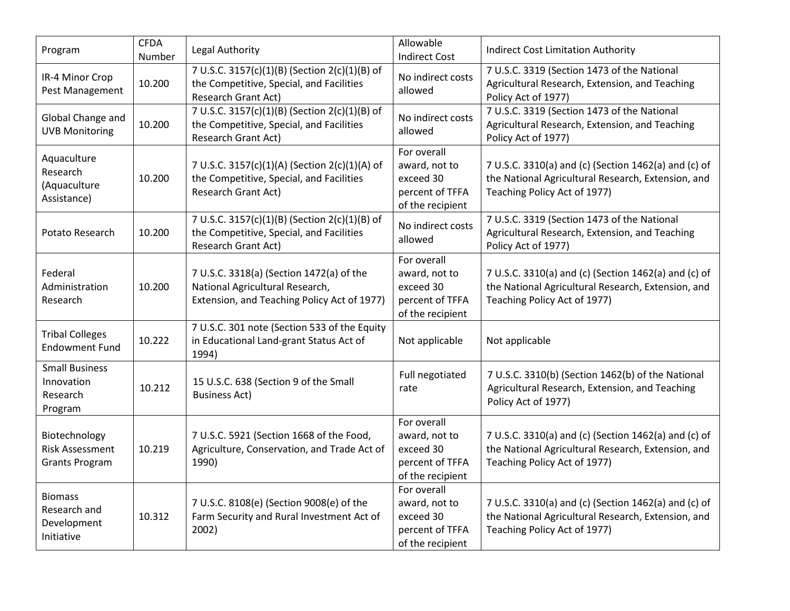| Program                                                          | <b>CFDA</b><br>Number | Legal Authority                                                                                                            | Allowable<br><b>Indirect Cost</b>                                                | <b>Indirect Cost Limitation Authority</b>                                                                                                  |
|------------------------------------------------------------------|-----------------------|----------------------------------------------------------------------------------------------------------------------------|----------------------------------------------------------------------------------|--------------------------------------------------------------------------------------------------------------------------------------------|
| IR-4 Minor Crop<br>Pest Management                               | 10.200                | 7 U.S.C. 3157(c)(1)(B) (Section 2(c)(1)(B) of<br>the Competitive, Special, and Facilities<br>Research Grant Act)           | No indirect costs<br>allowed                                                     | 7 U.S.C. 3319 (Section 1473 of the National<br>Agricultural Research, Extension, and Teaching<br>Policy Act of 1977)                       |
| Global Change and<br><b>UVB Monitoring</b>                       | 10.200                | 7 U.S.C. 3157(c)(1)(B) (Section 2(c)(1)(B) of<br>the Competitive, Special, and Facilities<br><b>Research Grant Act)</b>    | No indirect costs<br>allowed                                                     | 7 U.S.C. 3319 (Section 1473 of the National<br>Agricultural Research, Extension, and Teaching<br>Policy Act of 1977)                       |
| Aquaculture<br>Research<br>(Aquaculture<br>Assistance)           | 10.200                | 7 U.S.C. 3157(c)(1)(A) (Section 2(c)(1)(A) of<br>the Competitive, Special, and Facilities<br><b>Research Grant Act)</b>    | For overall<br>award, not to<br>exceed 30<br>percent of TFFA<br>of the recipient | 7 U.S.C. 3310(a) and (c) (Section 1462(a) and (c) of<br>the National Agricultural Research, Extension, and<br>Teaching Policy Act of 1977) |
| Potato Research                                                  | 10.200                | 7 U.S.C. 3157(c)(1)(B) (Section 2(c)(1)(B) of<br>the Competitive, Special, and Facilities<br><b>Research Grant Act)</b>    | No indirect costs<br>allowed                                                     | 7 U.S.C. 3319 (Section 1473 of the National<br>Agricultural Research, Extension, and Teaching<br>Policy Act of 1977)                       |
| Federal<br>Administration<br>Research                            | 10.200                | 7 U.S.C. 3318(a) (Section 1472(a) of the<br>National Agricultural Research,<br>Extension, and Teaching Policy Act of 1977) | For overall<br>award, not to<br>exceed 30<br>percent of TFFA<br>of the recipient | 7 U.S.C. 3310(a) and (c) (Section 1462(a) and (c) of<br>the National Agricultural Research, Extension, and<br>Teaching Policy Act of 1977) |
| <b>Tribal Colleges</b><br><b>Endowment Fund</b>                  | 10.222                | 7 U.S.C. 301 note (Section 533 of the Equity<br>in Educational Land-grant Status Act of<br>1994)                           | Not applicable                                                                   | Not applicable                                                                                                                             |
| <b>Small Business</b><br>Innovation<br>Research<br>Program       | 10.212                | 15 U.S.C. 638 (Section 9 of the Small<br><b>Business Act)</b>                                                              | Full negotiated<br>rate                                                          | 7 U.S.C. 3310(b) (Section 1462(b) of the National<br>Agricultural Research, Extension, and Teaching<br>Policy Act of 1977)                 |
| Biotechnology<br><b>Risk Assessment</b><br><b>Grants Program</b> | 10.219                | 7 U.S.C. 5921 (Section 1668 of the Food,<br>Agriculture, Conservation, and Trade Act of<br>1990)                           | For overall<br>award, not to<br>exceed 30<br>percent of TFFA<br>of the recipient | 7 U.S.C. 3310(a) and (c) (Section 1462(a) and (c) of<br>the National Agricultural Research, Extension, and<br>Teaching Policy Act of 1977) |
| <b>Biomass</b><br>Research and<br>Development<br>Initiative      | 10.312                | 7 U.S.C. 8108(e) (Section 9008(e) of the<br>Farm Security and Rural Investment Act of<br>2002)                             | For overall<br>award, not to<br>exceed 30<br>percent of TFFA<br>of the recipient | 7 U.S.C. 3310(a) and (c) (Section 1462(a) and (c) of<br>the National Agricultural Research, Extension, and<br>Teaching Policy Act of 1977) |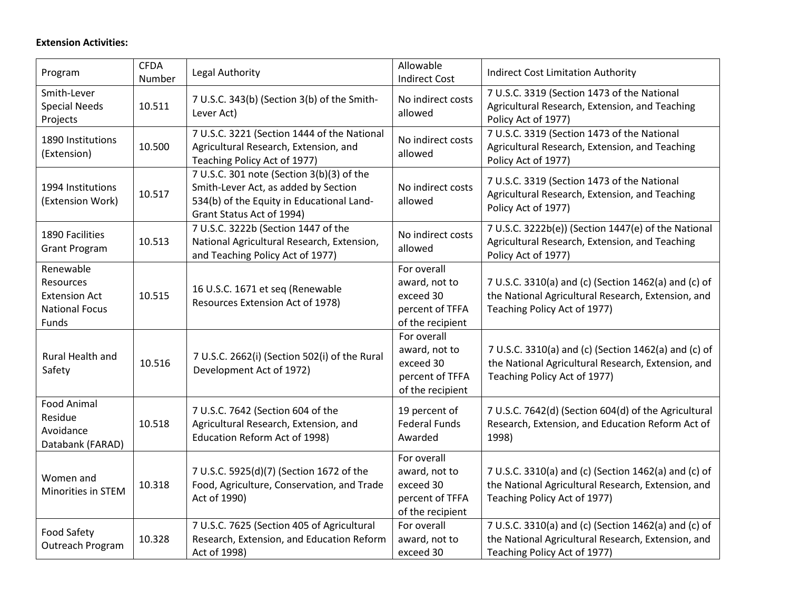# **Extension Activities:**

| Program                                                                          | <b>CFDA</b><br>Number | Legal Authority                                                                                                                                             | Allowable<br><b>Indirect Cost</b>                                                | <b>Indirect Cost Limitation Authority</b>                                                                                                  |
|----------------------------------------------------------------------------------|-----------------------|-------------------------------------------------------------------------------------------------------------------------------------------------------------|----------------------------------------------------------------------------------|--------------------------------------------------------------------------------------------------------------------------------------------|
| Smith-Lever<br><b>Special Needs</b><br>Projects                                  | 10.511                | 7 U.S.C. 343(b) (Section 3(b) of the Smith-<br>Lever Act)                                                                                                   | No indirect costs<br>allowed                                                     | 7 U.S.C. 3319 (Section 1473 of the National<br>Agricultural Research, Extension, and Teaching<br>Policy Act of 1977)                       |
| 1890 Institutions<br>(Extension)                                                 | 10.500                | 7 U.S.C. 3221 (Section 1444 of the National<br>Agricultural Research, Extension, and<br>Teaching Policy Act of 1977)                                        | No indirect costs<br>allowed                                                     | 7 U.S.C. 3319 (Section 1473 of the National<br>Agricultural Research, Extension, and Teaching<br>Policy Act of 1977)                       |
| 1994 Institutions<br>(Extension Work)                                            | 10.517                | 7 U.S.C. 301 note (Section 3(b)(3) of the<br>Smith-Lever Act, as added by Section<br>534(b) of the Equity in Educational Land-<br>Grant Status Act of 1994) | No indirect costs<br>allowed                                                     | 7 U.S.C. 3319 (Section 1473 of the National<br>Agricultural Research, Extension, and Teaching<br>Policy Act of 1977)                       |
| 1890 Facilities<br><b>Grant Program</b>                                          | 10.513                | 7 U.S.C. 3222b (Section 1447 of the<br>National Agricultural Research, Extension,<br>and Teaching Policy Act of 1977)                                       | No indirect costs<br>allowed                                                     | 7 U.S.C. 3222b(e)) (Section 1447(e) of the National<br>Agricultural Research, Extension, and Teaching<br>Policy Act of 1977)               |
| Renewable<br>Resources<br><b>Extension Act</b><br><b>National Focus</b><br>Funds | 10.515                | 16 U.S.C. 1671 et seq (Renewable<br>Resources Extension Act of 1978)                                                                                        | For overall<br>award, not to<br>exceed 30<br>percent of TFFA<br>of the recipient | 7 U.S.C. 3310(a) and (c) (Section 1462(a) and (c) of<br>the National Agricultural Research, Extension, and<br>Teaching Policy Act of 1977) |
| Rural Health and<br>Safety                                                       | 10.516                | 7 U.S.C. 2662(i) (Section 502(i) of the Rural<br>Development Act of 1972)                                                                                   | For overall<br>award, not to<br>exceed 30<br>percent of TFFA<br>of the recipient | 7 U.S.C. 3310(a) and (c) (Section 1462(a) and (c) of<br>the National Agricultural Research, Extension, and<br>Teaching Policy Act of 1977) |
| <b>Food Animal</b><br>Residue<br>Avoidance<br>Databank (FARAD)                   | 10.518                | 7 U.S.C. 7642 (Section 604 of the<br>Agricultural Research, Extension, and<br>Education Reform Act of 1998)                                                 | 19 percent of<br><b>Federal Funds</b><br>Awarded                                 | 7 U.S.C. 7642(d) (Section 604(d) of the Agricultural<br>Research, Extension, and Education Reform Act of<br>1998)                          |
| Women and<br>Minorities in STEM                                                  | 10.318                | 7 U.S.C. 5925(d)(7) (Section 1672 of the<br>Food, Agriculture, Conservation, and Trade<br>Act of 1990)                                                      | For overall<br>award, not to<br>exceed 30<br>percent of TFFA<br>of the recipient | 7 U.S.C. 3310(a) and (c) (Section 1462(a) and (c) of<br>the National Agricultural Research, Extension, and<br>Teaching Policy Act of 1977) |
| Food Safety<br>Outreach Program                                                  | 10.328                | 7 U.S.C. 7625 (Section 405 of Agricultural<br>Research, Extension, and Education Reform<br>Act of 1998)                                                     | For overall<br>award, not to<br>exceed 30                                        | 7 U.S.C. 3310(a) and (c) (Section 1462(a) and (c) of<br>the National Agricultural Research, Extension, and<br>Teaching Policy Act of 1977) |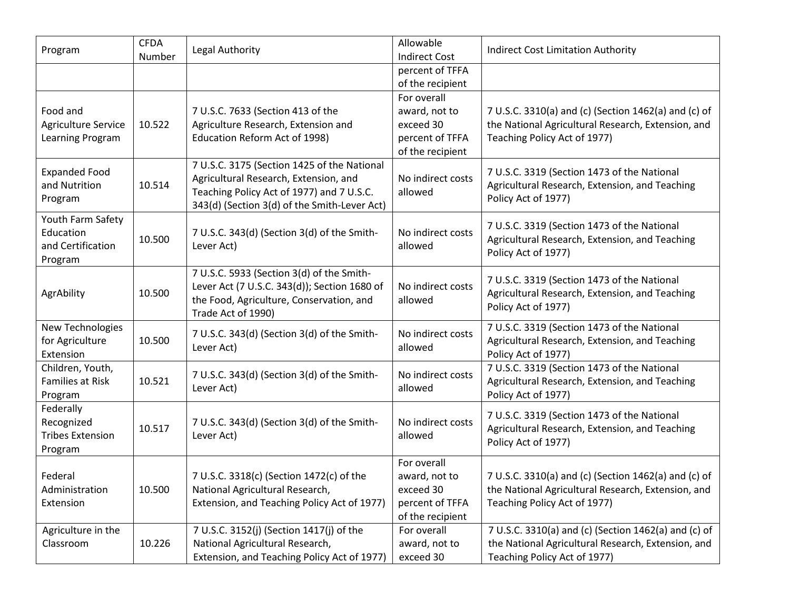| Program                                                        | <b>CFDA</b><br>Number | Legal Authority                                                                                                                                                                   | Allowable<br><b>Indirect Cost</b>                                                | <b>Indirect Cost Limitation Authority</b>                                                                                                  |
|----------------------------------------------------------------|-----------------------|-----------------------------------------------------------------------------------------------------------------------------------------------------------------------------------|----------------------------------------------------------------------------------|--------------------------------------------------------------------------------------------------------------------------------------------|
|                                                                |                       |                                                                                                                                                                                   | percent of TFFA<br>of the recipient                                              |                                                                                                                                            |
| Food and<br><b>Agriculture Service</b>                         | 10.522                | 7 U.S.C. 7633 (Section 413 of the<br>Agriculture Research, Extension and                                                                                                          | For overall<br>award, not to<br>exceed 30                                        | 7 U.S.C. 3310(a) and (c) (Section 1462(a) and (c) of<br>the National Agricultural Research, Extension, and                                 |
| Learning Program                                               |                       | Education Reform Act of 1998)                                                                                                                                                     | percent of TFFA<br>of the recipient                                              | Teaching Policy Act of 1977)                                                                                                               |
| <b>Expanded Food</b><br>and Nutrition<br>Program               | 10.514                | 7 U.S.C. 3175 (Section 1425 of the National<br>Agricultural Research, Extension, and<br>Teaching Policy Act of 1977) and 7 U.S.C.<br>343(d) (Section 3(d) of the Smith-Lever Act) | No indirect costs<br>allowed                                                     | 7 U.S.C. 3319 (Section 1473 of the National<br>Agricultural Research, Extension, and Teaching<br>Policy Act of 1977)                       |
| Youth Farm Safety<br>Education<br>and Certification<br>Program | 10.500                | 7 U.S.C. 343(d) (Section 3(d) of the Smith-<br>Lever Act)                                                                                                                         | No indirect costs<br>allowed                                                     | 7 U.S.C. 3319 (Section 1473 of the National<br>Agricultural Research, Extension, and Teaching<br>Policy Act of 1977)                       |
| AgrAbility                                                     | 10.500                | 7 U.S.C. 5933 (Section 3(d) of the Smith-<br>Lever Act (7 U.S.C. 343(d)); Section 1680 of<br>the Food, Agriculture, Conservation, and<br>Trade Act of 1990)                       | No indirect costs<br>allowed                                                     | 7 U.S.C. 3319 (Section 1473 of the National<br>Agricultural Research, Extension, and Teaching<br>Policy Act of 1977)                       |
| New Technologies<br>for Agriculture<br>Extension               | 10.500                | 7 U.S.C. 343(d) (Section 3(d) of the Smith-<br>Lever Act)                                                                                                                         | No indirect costs<br>allowed                                                     | 7 U.S.C. 3319 (Section 1473 of the National<br>Agricultural Research, Extension, and Teaching<br>Policy Act of 1977)                       |
| Children, Youth,<br><b>Families at Risk</b><br>Program         | 10.521                | 7 U.S.C. 343(d) (Section 3(d) of the Smith-<br>Lever Act)                                                                                                                         | No indirect costs<br>allowed                                                     | 7 U.S.C. 3319 (Section 1473 of the National<br>Agricultural Research, Extension, and Teaching<br>Policy Act of 1977)                       |
| Federally<br>Recognized<br><b>Tribes Extension</b><br>Program  | 10.517                | 7 U.S.C. 343(d) (Section 3(d) of the Smith-<br>Lever Act)                                                                                                                         | No indirect costs<br>allowed                                                     | 7 U.S.C. 3319 (Section 1473 of the National<br>Agricultural Research, Extension, and Teaching<br>Policy Act of 1977)                       |
| Federal<br>Administration<br>Extension                         | 10.500                | 7 U.S.C. 3318(c) (Section 1472(c) of the<br>National Agricultural Research,<br>Extension, and Teaching Policy Act of 1977)                                                        | For overall<br>award, not to<br>exceed 30<br>percent of TFFA<br>of the recipient | 7 U.S.C. 3310(a) and (c) (Section 1462(a) and (c) of<br>the National Agricultural Research, Extension, and<br>Teaching Policy Act of 1977) |
| Agriculture in the<br>Classroom                                | 10.226                | 7 U.S.C. 3152(j) (Section 1417(j) of the<br>National Agricultural Research,<br>Extension, and Teaching Policy Act of 1977)                                                        | For overall<br>award, not to<br>exceed 30                                        | 7 U.S.C. 3310(a) and (c) (Section 1462(a) and (c) of<br>the National Agricultural Research, Extension, and<br>Teaching Policy Act of 1977) |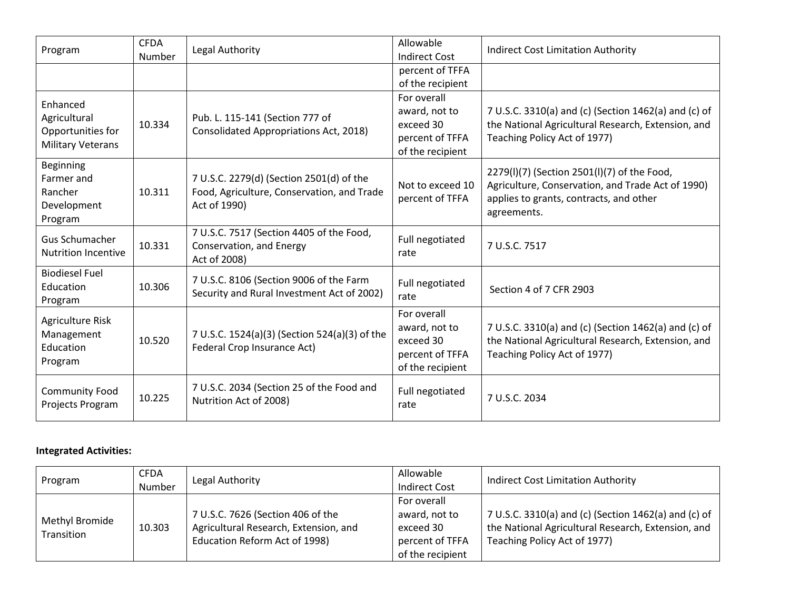| Program                                                                   | <b>CFDA</b><br>Number | Legal Authority                                                                                        | Allowable<br><b>Indirect Cost</b>                                                | <b>Indirect Cost Limitation Authority</b>                                                                                                                  |
|---------------------------------------------------------------------------|-----------------------|--------------------------------------------------------------------------------------------------------|----------------------------------------------------------------------------------|------------------------------------------------------------------------------------------------------------------------------------------------------------|
|                                                                           |                       |                                                                                                        | percent of TFFA<br>of the recipient                                              |                                                                                                                                                            |
| Enhanced<br>Agricultural<br>Opportunities for<br><b>Military Veterans</b> | 10.334                | Pub. L. 115-141 (Section 777 of<br>Consolidated Appropriations Act, 2018)                              | For overall<br>award, not to<br>exceed 30<br>percent of TFFA<br>of the recipient | 7 U.S.C. 3310(a) and (c) (Section 1462(a) and (c) of<br>the National Agricultural Research, Extension, and<br>Teaching Policy Act of 1977)                 |
| Beginning<br>Farmer and<br>Rancher<br>Development<br>Program              | 10.311                | 7 U.S.C. 2279(d) (Section 2501(d) of the<br>Food, Agriculture, Conservation, and Trade<br>Act of 1990) | Not to exceed 10<br>percent of TFFA                                              | 2279(I)(7) (Section 2501(I)(7) of the Food,<br>Agriculture, Conservation, and Trade Act of 1990)<br>applies to grants, contracts, and other<br>agreements. |
| <b>Gus Schumacher</b><br><b>Nutrition Incentive</b>                       | 10.331                | 7 U.S.C. 7517 (Section 4405 of the Food,<br>Conservation, and Energy<br>Act of 2008)                   | Full negotiated<br>rate                                                          | 7 U.S.C. 7517                                                                                                                                              |
| <b>Biodiesel Fuel</b><br>Education<br>Program                             | 10.306                | 7 U.S.C. 8106 (Section 9006 of the Farm<br>Security and Rural Investment Act of 2002)                  | Full negotiated<br>rate                                                          | Section 4 of 7 CFR 2903                                                                                                                                    |
| Agriculture Risk<br>Management<br>Education<br>Program                    | 10.520                | 7 U.S.C. 1524(a)(3) (Section 524(a)(3) of the<br>Federal Crop Insurance Act)                           | For overall<br>award, not to<br>exceed 30<br>percent of TFFA<br>of the recipient | 7 U.S.C. 3310(a) and (c) (Section 1462(a) and (c) of<br>the National Agricultural Research, Extension, and<br>Teaching Policy Act of 1977)                 |
| <b>Community Food</b><br>Projects Program                                 | 10.225                | 7 U.S.C. 2034 (Section 25 of the Food and<br>Nutrition Act of 2008)                                    | Full negotiated<br>rate                                                          | 7 U.S.C. 2034                                                                                                                                              |

# **Integrated Activities:**

| Program                      | <b>CFDA</b><br>Number | Legal Authority                                                                                             | Allowable<br><b>Indirect Cost</b>                                                | <b>Indirect Cost Limitation Authority</b>                                                                                                  |
|------------------------------|-----------------------|-------------------------------------------------------------------------------------------------------------|----------------------------------------------------------------------------------|--------------------------------------------------------------------------------------------------------------------------------------------|
| Methyl Bromide<br>Transition | 10.303                | 7 U.S.C. 7626 (Section 406 of the<br>Agricultural Research, Extension, and<br>Education Reform Act of 1998) | For overall<br>award, not to<br>exceed 30<br>percent of TFFA<br>of the recipient | 7 U.S.C. 3310(a) and (c) (Section 1462(a) and (c) of<br>the National Agricultural Research, Extension, and<br>Teaching Policy Act of 1977) |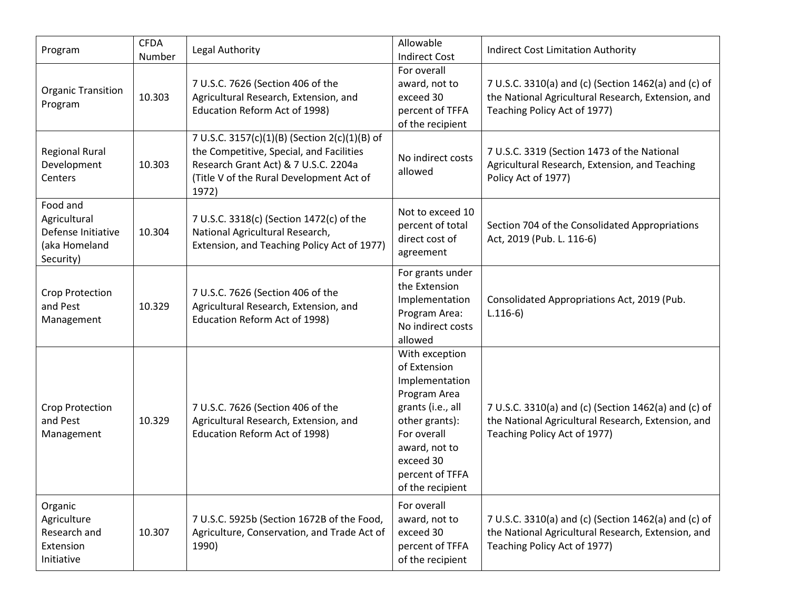| Program                                                                      | <b>CFDA</b><br>Number | Legal Authority                                                                                                                                                                        | Allowable<br><b>Indirect Cost</b>                                                                                                                                                           | <b>Indirect Cost Limitation Authority</b>                                                                                                  |
|------------------------------------------------------------------------------|-----------------------|----------------------------------------------------------------------------------------------------------------------------------------------------------------------------------------|---------------------------------------------------------------------------------------------------------------------------------------------------------------------------------------------|--------------------------------------------------------------------------------------------------------------------------------------------|
| <b>Organic Transition</b><br>Program                                         | 10.303                | 7 U.S.C. 7626 (Section 406 of the<br>Agricultural Research, Extension, and<br>Education Reform Act of 1998)                                                                            | For overall<br>award, not to<br>exceed 30<br>percent of TFFA<br>of the recipient                                                                                                            | 7 U.S.C. 3310(a) and (c) (Section 1462(a) and (c) of<br>the National Agricultural Research, Extension, and<br>Teaching Policy Act of 1977) |
| <b>Regional Rural</b><br>Development<br>Centers                              | 10.303                | 7 U.S.C. 3157(c)(1)(B) (Section 2(c)(1)(B) of<br>the Competitive, Special, and Facilities<br>Research Grant Act) & 7 U.S.C. 2204a<br>(Title V of the Rural Development Act of<br>1972) | No indirect costs<br>allowed                                                                                                                                                                | 7 U.S.C. 3319 (Section 1473 of the National<br>Agricultural Research, Extension, and Teaching<br>Policy Act of 1977)                       |
| Food and<br>Agricultural<br>Defense Initiative<br>(aka Homeland<br>Security) | 10.304                | 7 U.S.C. 3318(c) (Section 1472(c) of the<br>National Agricultural Research,<br>Extension, and Teaching Policy Act of 1977)                                                             | Not to exceed 10<br>percent of total<br>direct cost of<br>agreement                                                                                                                         | Section 704 of the Consolidated Appropriations<br>Act, 2019 (Pub. L. 116-6)                                                                |
| Crop Protection<br>and Pest<br>Management                                    | 10.329                | 7 U.S.C. 7626 (Section 406 of the<br>Agricultural Research, Extension, and<br>Education Reform Act of 1998)                                                                            | For grants under<br>the Extension<br>Implementation<br>Program Area:<br>No indirect costs<br>allowed                                                                                        | Consolidated Appropriations Act, 2019 (Pub.<br>$L.116-6)$                                                                                  |
| Crop Protection<br>and Pest<br>Management                                    | 10.329                | 7 U.S.C. 7626 (Section 406 of the<br>Agricultural Research, Extension, and<br>Education Reform Act of 1998)                                                                            | With exception<br>of Extension<br>Implementation<br>Program Area<br>grants (i.e., all<br>other grants):<br>For overall<br>award, not to<br>exceed 30<br>percent of TFFA<br>of the recipient | 7 U.S.C. 3310(a) and (c) (Section 1462(a) and (c) of<br>the National Agricultural Research, Extension, and<br>Teaching Policy Act of 1977) |
| Organic<br>Agriculture<br>Research and<br>Extension<br>Initiative            | 10.307                | 7 U.S.C. 5925b (Section 1672B of the Food,<br>Agriculture, Conservation, and Trade Act of<br>1990)                                                                                     | For overall<br>award, not to<br>exceed 30<br>percent of TFFA<br>of the recipient                                                                                                            | 7 U.S.C. 3310(a) and (c) (Section 1462(a) and (c) of<br>the National Agricultural Research, Extension, and<br>Teaching Policy Act of 1977) |